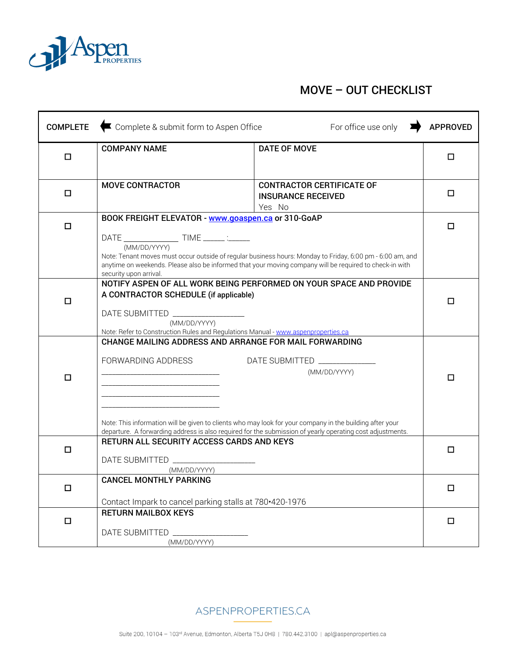

## MOVE – OUT CHECKLIST

| <b>COMPLETE</b> | Complete & submit form to Aspen Office<br>For office use only                                                                                                                                                                                          |                                                                                                                                                           | <b>APPROVED</b> |
|-----------------|--------------------------------------------------------------------------------------------------------------------------------------------------------------------------------------------------------------------------------------------------------|-----------------------------------------------------------------------------------------------------------------------------------------------------------|-----------------|
| □               | <b>COMPANY NAME</b>                                                                                                                                                                                                                                    | <b>DATE OF MOVE</b>                                                                                                                                       | □               |
| $\Box$          | <b>MOVE CONTRACTOR</b>                                                                                                                                                                                                                                 | <b>CONTRACTOR CERTIFICATE OF</b><br><b>INSURANCE RECEIVED</b><br>Yes No                                                                                   | □               |
| □               | BOOK FREIGHT ELEVATOR - www.goaspen.ca or 310-GoAP<br>(MM/DD/YYYY)<br>Note: Tenant moves must occur outside of regular business hours: Monday to Friday, 6:00 pm - 6:00 am, and                                                                        |                                                                                                                                                           | □               |
|                 | anytime on weekends. Please also be informed that your moving company will be required to check-in with<br>security upon arrival.                                                                                                                      |                                                                                                                                                           |                 |
| $\Box$          | NOTIFY ASPEN OF ALL WORK BEING PERFORMED ON YOUR SPACE AND PROVIDE<br>A CONTRACTOR SCHEDULE (if applicable)<br>DATE SUBMITTED ___________________<br>(MM/DD/YYYY)<br>Note: Refer to Construction Rules and Regulations Manual - www.aspenproperties.ca |                                                                                                                                                           | □               |
| $\Box$          | CHANGE MAILING ADDRESS AND ARRANGE FOR MAIL FORWARDING<br>FORWARDING ADDRESS<br>Note: This information will be given to clients who may look for your company in the building after your                                                               | DATE SUBMITTED _____________<br>(MM/DD/YYYY)<br>departure. A forwarding address is also required for the submission of yearly operating cost adjustments. | □               |
| □               | RETURN ALL SECURITY ACCESS CARDS AND KEYS<br>DATE SUBMITTED _________<br>(MM/DD/YYYY)                                                                                                                                                                  |                                                                                                                                                           | □               |
| $\Box$          | <b>CANCEL MONTHLY PARKING</b><br>Contact Impark to cancel parking stalls at 780.420-1976                                                                                                                                                               |                                                                                                                                                           | $\Box$          |
| $\Box$          | <b>RETURN MAILBOX KEYS</b><br>DATE SUBMITTED<br>(MM/DD/YYYY)                                                                                                                                                                                           |                                                                                                                                                           | □               |

ASPENPROPERTIES.CA